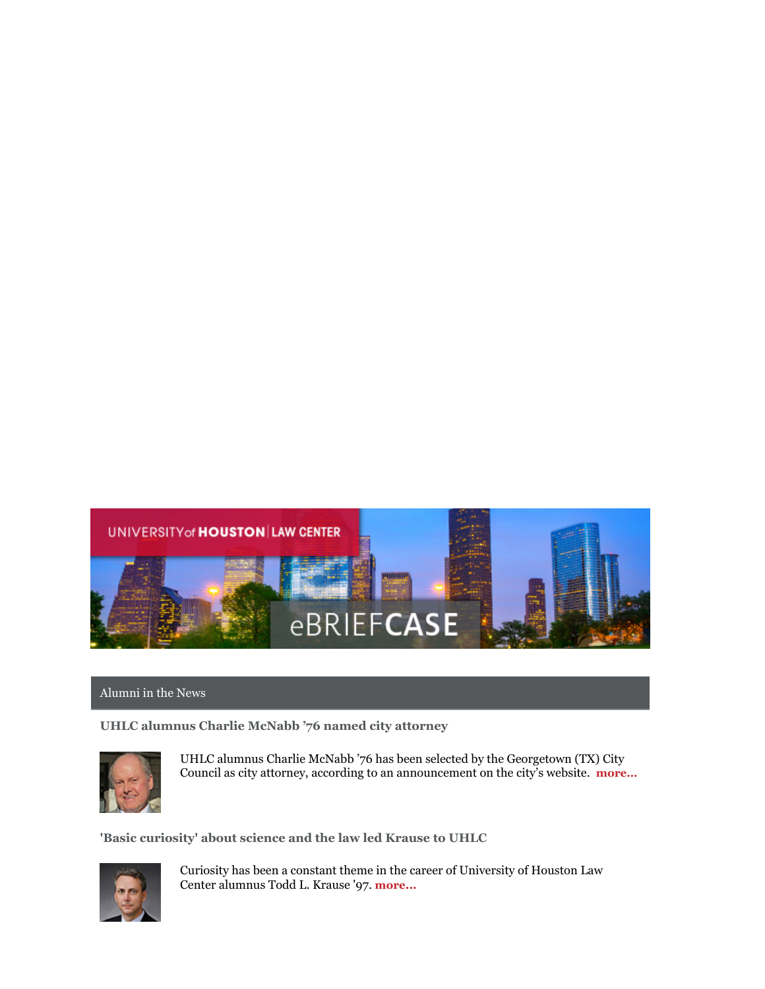

## Alumni in the News

**UHLC alumnus Charlie McNabb '76 named city attorney**



UHLC alumnus Charlie McNabb '76 has been selected by the Georgetown (TX) City Council as city attorney, according to an announcement on the city's website. **[more…](https://georgetown.org/2016/02/09/charlie-mcnabb-named-city-attorney/)**

**'Basic curiosity' about science and the law led Krause to UHLC**



Curiosity has been a constant theme in the career of University of Houston Law Center alumnus Todd L. Krause '97. **[more...](http://www.law.uh.edu/alumni/Featured-Alumni/2016-0215Krause.asp)**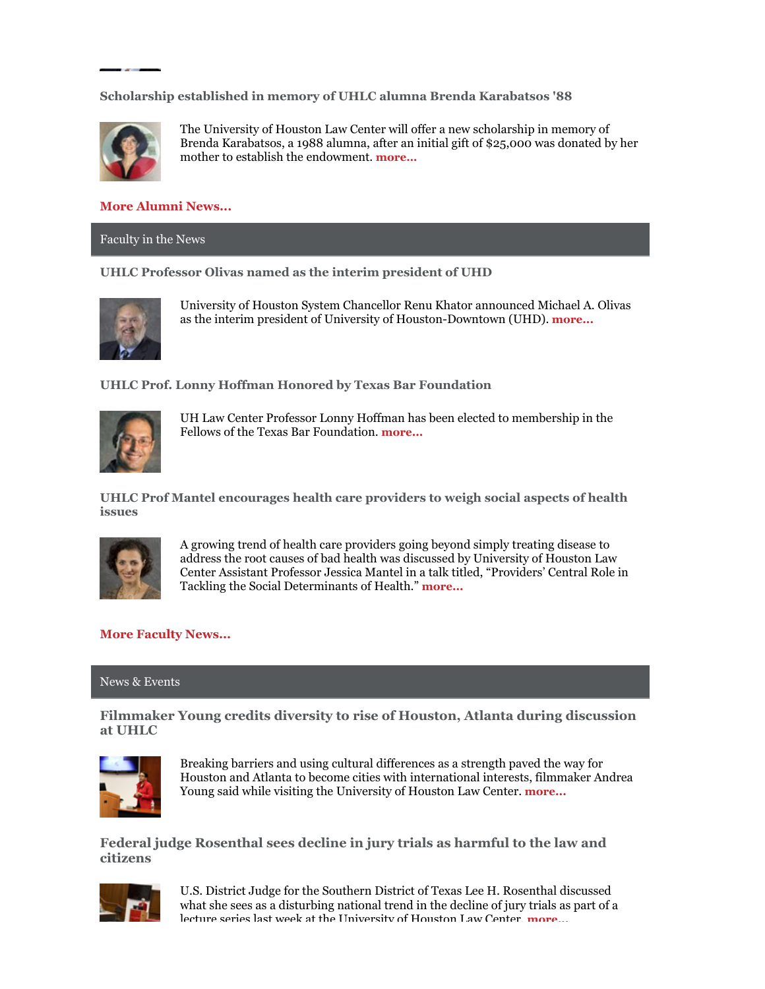**Scholarship established in memory of UHLC alumna Brenda Karabatsos '88**



The University of Houston Law Center will offer a new scholarship in memory of Brenda Karabatsos, a 1988 alumna, after an initial gift of \$25,000 was donated by her mother to establish the endowment. **[more…](http://www.law.uh.edu/news/spring2016/0219Scholarship.asp)**

## **[More Alumni News...](http://www.law.uh.edu/alumni/alumni-in-the-news.asp)**

Faculty in the News

**UHLC Professor Olivas named as the interim president of UHD**



University of Houston System Chancellor Renu Khator announced Michael A. Olivas as the interim president of University of Houston-Downtown (UHD). **[more...](http://www.uh.edu/news-events/stories/2016/February/020315uhd-interim-president.php)**

**UHLC Prof. Lonny Hoffman Honored by Texas Bar Foundation**



UH Law Center Professor Lonny Hoffman has been elected to membership in the Fellows of the Texas Bar Foundation. **[more...](http://www.law.uh.edu/news/spring2016/0202Hoffman.asp)**

**UHLC Prof Mantel encourages health care providers to weigh social aspects of health issues**



A growing trend of health care providers going beyond simply treating disease to address the root causes of bad health was discussed by University of Houston Law Center Assistant Professor Jessica Mantel in a talk titled, "Providers' Central Role in Tackling the Social Determinants of Health." **[more...](http://www.law.uh.edu/news/spring2016/0129Mantel.asp)**

## **[More Faculty News...](http://www.law.uh.edu/news/uhlc-in-the-news.asp)**

## News & Events

**Filmmaker Young credits diversity to rise of Houston, Atlanta during discussion at UHLC**



Breaking barriers and using cultural differences as a strength paved the way for Houston and Atlanta to become cities with international interests, filmmaker Andrea Young said while visiting the University of Houston Law Center. **[more...](http://www.law.uh.edu/news/spring2016/0226Modern.asp)**

**Federal judge Rosenthal sees decline in jury trials as harmful to the law and citizens**



U.S. District Judge for the Southern District of Texas Lee H. Rosenthal discussed what she sees as a disturbing national trend in the decline of jury trials as part of a lecture series last week at the University of Houston Law Center. **more**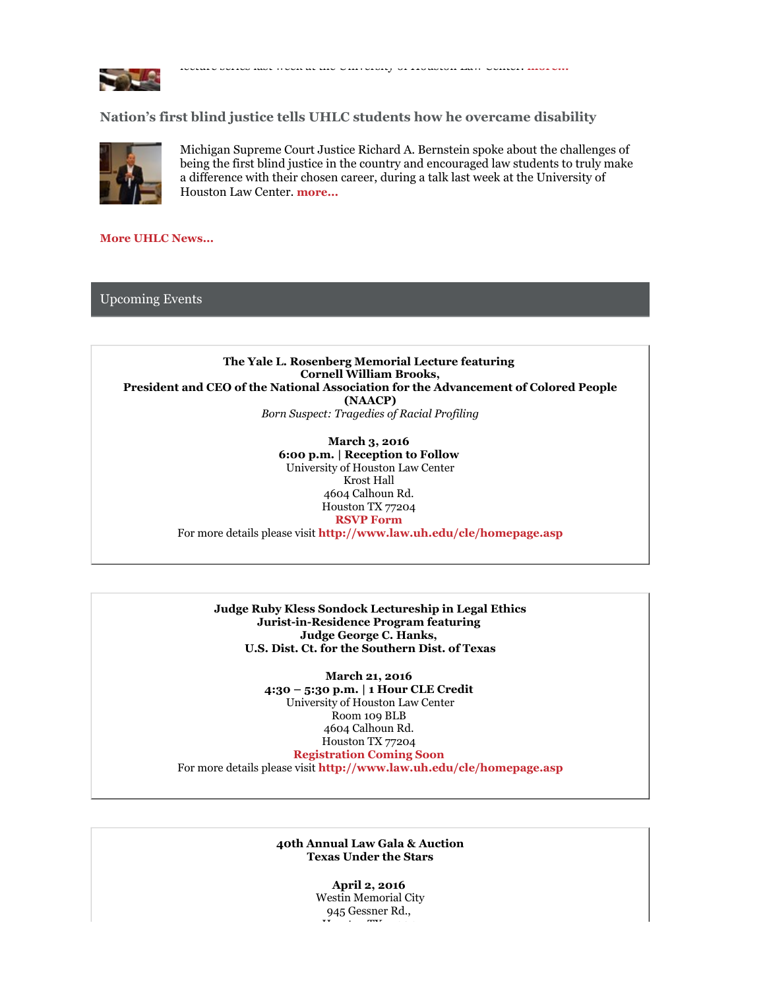

lecture series last week at the University of Houston Law Center. **[more...](http://www.law.uh.edu/news/spring2016/0225Rosenthal.asp)**

**Nation's first blind justice tells UHLC students how he overcame disability**



Michigan Supreme Court Justice Richard A. Bernstein spoke about the challenges of being the first blind justice in the country and encouraged law students to truly make a difference with their chosen career, during a talk last week at the University of Houston Law Center. **[more...](http://www.law.uh.edu/news/spring2016/0217Justice.asp)**

**[More UHLC News...](http://www.law.uh.edu/news/homepage.asp)**

Upcoming Events

**The Yale L. Rosenberg Memorial Lecture featuring Cornell William Brooks, President and CEO of the National Association for the Advancement of Colored People (NAACP)** *Born Suspect: Tragedies of Racial Profiling*

> **March 3, 2016 6:00 p.m. | Reception to Follow** University of Houston Law Center Krost Hall 4604 Calhoun Rd. Houston TX 77204 **[RSVP Form](https://www.law.uh.edu/cle/2016Feb17/homepage.asp)**

For more details please visit **<http://www.law.uh.edu/cle/homepage.asp>**

**Judge Ruby Kless Sondock Lectureship in Legal Ethics Jurist-in-Residence Program featuring Judge George C. Hanks, U.S. Dist. Ct. for the Southern Dist. of Texas**

**March 21, 2016 4:30 – 5:30 p.m. | 1 Hour CLE Credit** University of Houston Law Center Room 109 BLB 4604 Calhoun Rd. Houston TX 77204 **[Registration Coming Soon](https://www.law.uh.edu/cle/2016Feb17/homepage.asp)** For more details please visit **<http://www.law.uh.edu/cle/homepage.asp>**

> **40th Annual Law Gala & Auction Texas Under the Stars**

> > **April 2, 2016** Westin Memorial City 945 Gessner Rd., Houston TX 77204